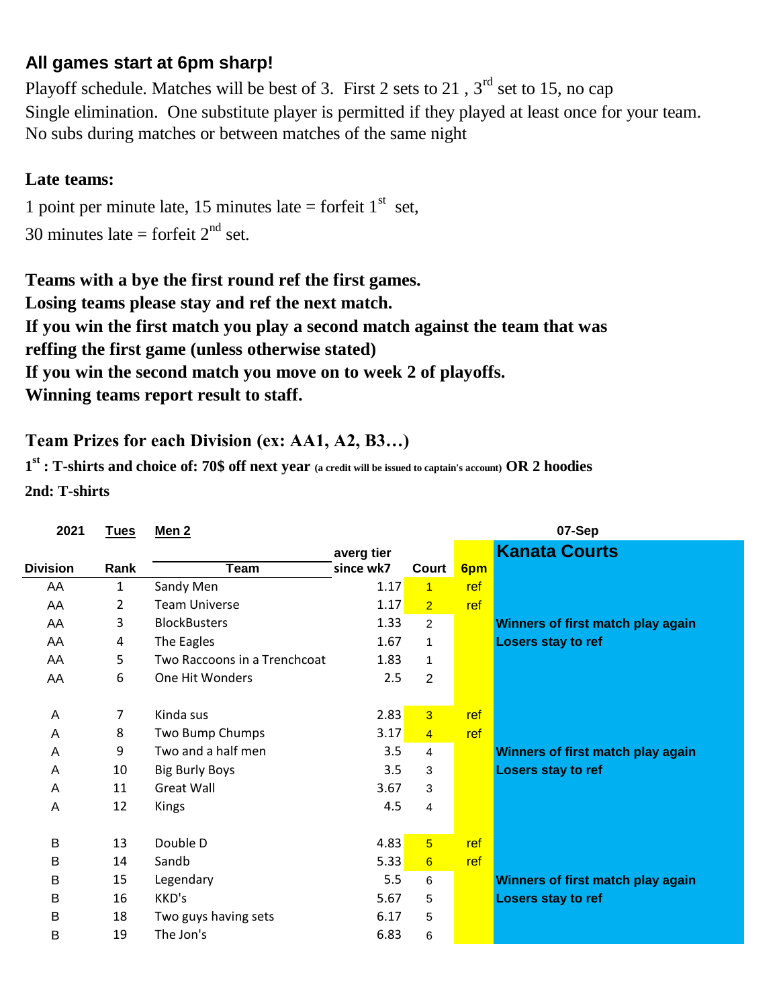## **All games start at 6pm sharp!**

No subs during matches or between matches of the same night Playoff schedule. Matches will be best of 3. First 2 sets to 21,  $3<sup>rd</sup>$  set to 15, no cap Single elimination. One substitute player is permitted if they played at least once for your team.

## **Late teams:**

30 minutes late = forfeit  $2<sup>nd</sup>$  set. 1 point per minute late, 15 minutes late = forfeit  $1<sup>st</sup>$  set,

**Winning teams report result to staff. Teams with a bye the first round ref the first games. Losing teams please stay and ref the next match. If you win the first match you play a second match against the team that was If you win the second match you move on to week 2 of playoffs. reffing the first game (unless otherwise stated)**

## **Team Prizes for each Division (ex: AA1, A2, B3…)**

**1 st : T-shirts and choice of: 70\$ off next year (a credit will be issued to captain's account) OR 2 hoodies 2nd: T-shirts**

| 2021            | <u>Tues</u> | Men <sub>2</sub>             |            |                 |     | 07-Sep                            |
|-----------------|-------------|------------------------------|------------|-----------------|-----|-----------------------------------|
|                 |             |                              | averg tier |                 |     | <b>Kanata Courts</b>              |
| <b>Division</b> | Rank        | <b>Team</b>                  | since wk7  | Court           | 6pm |                                   |
| AA              | 1           | Sandy Men                    | 1.17       | $\overline{1}$  | ref |                                   |
| AA              | 2           | <b>Team Universe</b>         | 1.17       | $\overline{2}$  | ref |                                   |
| AA              | 3           | <b>BlockBusters</b>          | 1.33       | $\overline{2}$  |     | Winners of first match play again |
| AA              | 4           | The Eagles                   | 1.67       | $\mathbf{1}$    |     | Losers stay to ref                |
| AA              | 5           | Two Raccoons in a Trenchcoat | 1.83       | $\mathbf{1}$    |     |                                   |
| AA              | 6           | One Hit Wonders              | 2.5        | $\overline{2}$  |     |                                   |
|                 |             |                              |            |                 |     |                                   |
| A               | 7           | Kinda sus                    | 2.83       | $\overline{3}$  | ref |                                   |
| A               | 8           | Two Bump Chumps              | 3.17       | $\overline{4}$  | ref |                                   |
| Α               | 9           | Two and a half men           | 3.5        | 4               |     | Winners of first match play again |
| A               | 10          | <b>Big Burly Boys</b>        | 3.5        | 3               |     | Losers stay to ref                |
| A               | 11          | <b>Great Wall</b>            | 3.67       | 3               |     |                                   |
| A               | 12          | Kings                        | 4.5        | 4               |     |                                   |
|                 |             |                              |            |                 |     |                                   |
| B               | 13          | Double D                     | 4.83       | $5\overline{)}$ | ref |                                   |
| B               | 14          | Sandb                        | 5.33       | $6\overline{6}$ | ref |                                   |
| B               | 15          | Legendary                    | 5.5        | 6               |     | Winners of first match play again |
| B               | 16          | KKD's                        | 5.67       | 5               |     | <b>Losers stay to ref</b>         |
| B               | 18          | Two guys having sets         | 6.17       | 5               |     |                                   |
| B               | 19          | The Jon's                    | 6.83       | 6               |     |                                   |